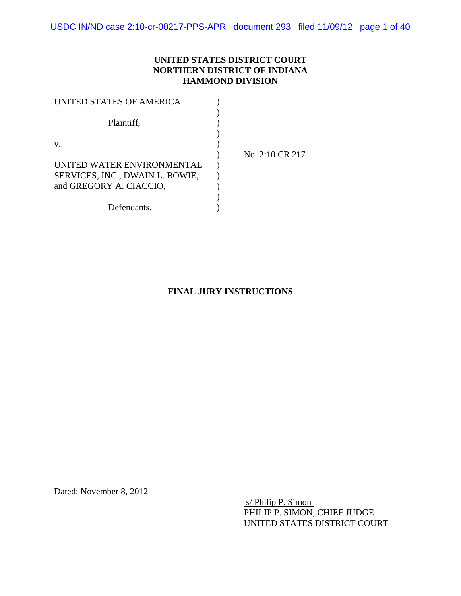### **UNITED STATES DISTRICT COURT NORTHERN DISTRICT OF INDIANA HAMMOND DIVISION**

| UNITED STATES OF AMERICA        |                 |
|---------------------------------|-----------------|
|                                 |                 |
| Plaintiff,                      |                 |
|                                 |                 |
| V.                              |                 |
|                                 | No. 2:10 CR 217 |
| UNITED WATER ENVIRONMENTAL      |                 |
| SERVICES, INC., DWAIN L. BOWIE, |                 |
| and GREGORY A. CIACCIO,         |                 |
|                                 |                 |
| Defendants.                     |                 |

## **FINAL JURY INSTRUCTIONS**

Dated: November 8, 2012

 s/ Philip P. Simon PHILIP P. SIMON, CHIEF JUDGE UNITED STATES DISTRICT COURT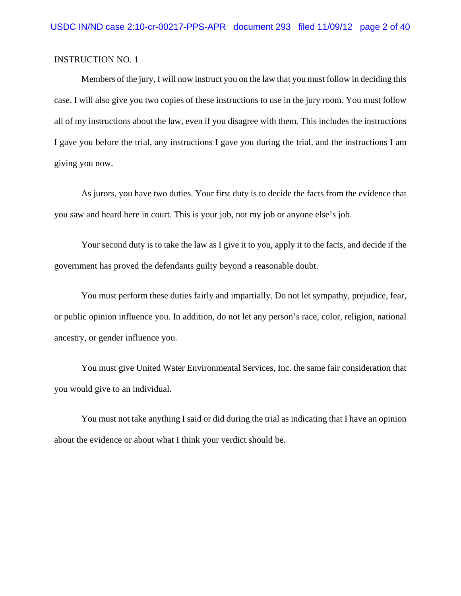Members of the jury, I will now instruct you on the law that you must follow in deciding this case. I will also give you two copies of these instructions to use in the jury room. You must follow all of my instructions about the law, even if you disagree with them. This includes the instructions I gave you before the trial, any instructions I gave you during the trial, and the instructions I am giving you now.

As jurors, you have two duties. Your first duty is to decide the facts from the evidence that you saw and heard here in court. This is your job, not my job or anyone else's job.

Your second duty is to take the law as I give it to you, apply it to the facts, and decide if the government has proved the defendants guilty beyond a reasonable doubt.

You must perform these duties fairly and impartially. Do not let sympathy, prejudice, fear, or public opinion influence you. In addition, do not let any person's race, color, religion, national ancestry, or gender influence you.

You must give United Water Environmental Services, Inc. the same fair consideration that you would give to an individual.

You must not take anything I said or did during the trial as indicating that I have an opinion about the evidence or about what I think your verdict should be.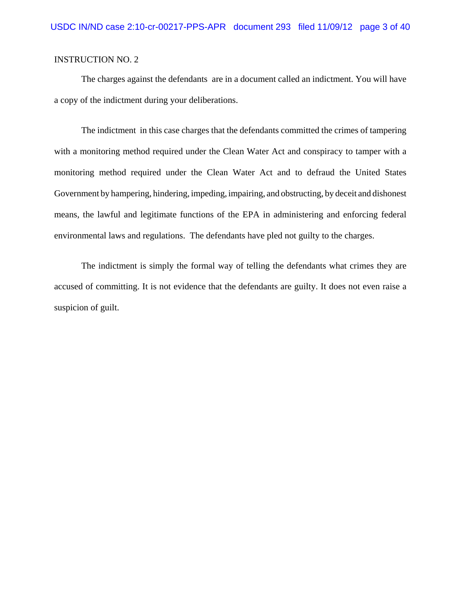The charges against the defendants are in a document called an indictment. You will have a copy of the indictment during your deliberations.

The indictment in this case charges that the defendants committed the crimes of tampering with a monitoring method required under the Clean Water Act and conspiracy to tamper with a monitoring method required under the Clean Water Act and to defraud the United States Government by hampering, hindering, impeding, impairing, and obstructing, by deceit and dishonest means, the lawful and legitimate functions of the EPA in administering and enforcing federal environmental laws and regulations. The defendants have pled not guilty to the charges.

The indictment is simply the formal way of telling the defendants what crimes they are accused of committing. It is not evidence that the defendants are guilty. It does not even raise a suspicion of guilt.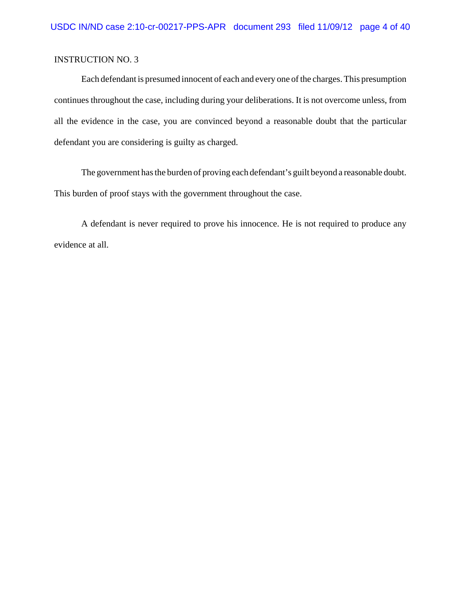Each defendant is presumed innocent of each and every one of the charges. This presumption continues throughout the case, including during your deliberations. It is not overcome unless, from all the evidence in the case, you are convinced beyond a reasonable doubt that the particular defendant you are considering is guilty as charged.

The government has the burden of proving each defendant's guilt beyond a reasonable doubt. This burden of proof stays with the government throughout the case.

A defendant is never required to prove his innocence. He is not required to produce any evidence at all.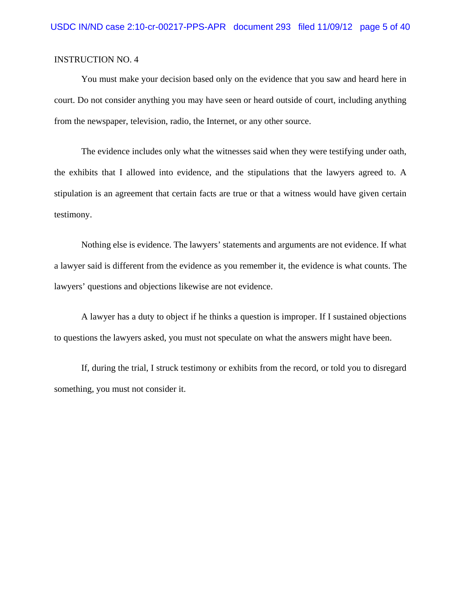You must make your decision based only on the evidence that you saw and heard here in court. Do not consider anything you may have seen or heard outside of court, including anything from the newspaper, television, radio, the Internet, or any other source.

The evidence includes only what the witnesses said when they were testifying under oath, the exhibits that I allowed into evidence, and the stipulations that the lawyers agreed to. A stipulation is an agreement that certain facts are true or that a witness would have given certain testimony.

Nothing else is evidence. The lawyers' statements and arguments are not evidence. If what a lawyer said is different from the evidence as you remember it, the evidence is what counts. The lawyers' questions and objections likewise are not evidence.

A lawyer has a duty to object if he thinks a question is improper. If I sustained objections to questions the lawyers asked, you must not speculate on what the answers might have been.

If, during the trial, I struck testimony or exhibits from the record, or told you to disregard something, you must not consider it.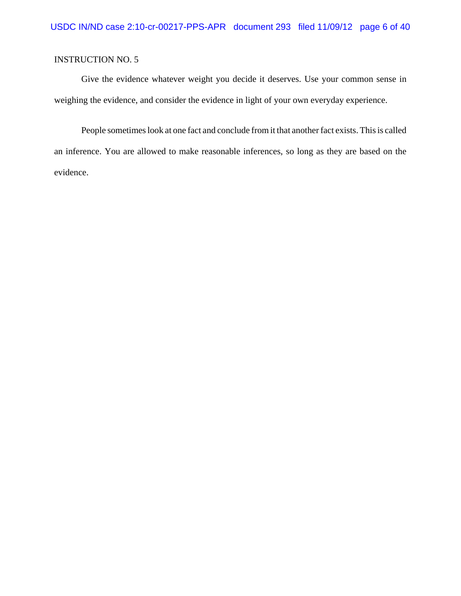Give the evidence whatever weight you decide it deserves. Use your common sense in weighing the evidence, and consider the evidence in light of your own everyday experience.

People sometimes look at one fact and conclude from it that another fact exists. This is called an inference. You are allowed to make reasonable inferences, so long as they are based on the evidence.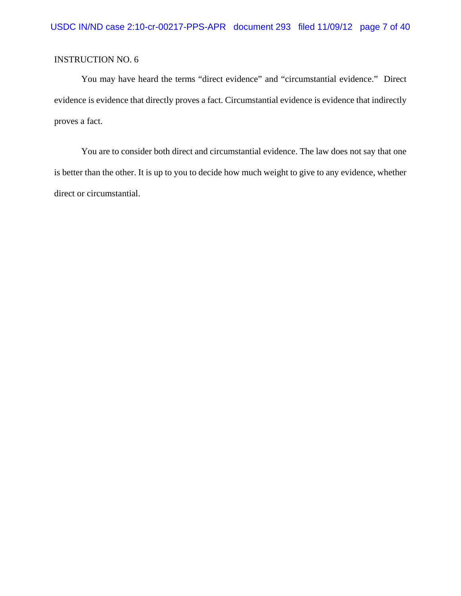You may have heard the terms "direct evidence" and "circumstantial evidence." Direct evidence is evidence that directly proves a fact. Circumstantial evidence is evidence that indirectly proves a fact.

You are to consider both direct and circumstantial evidence. The law does not say that one is better than the other. It is up to you to decide how much weight to give to any evidence, whether direct or circumstantial.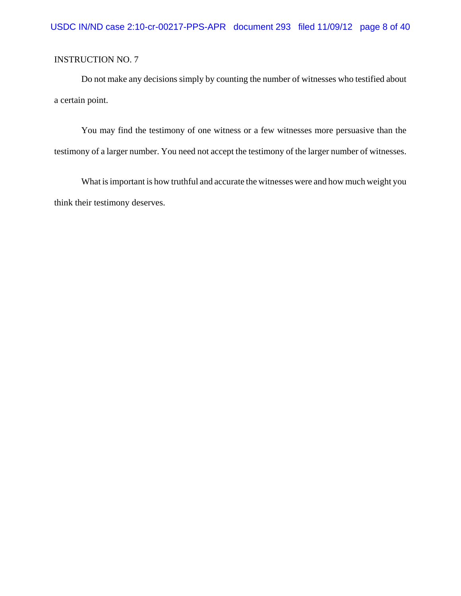Do not make any decisions simply by counting the number of witnesses who testified about a certain point.

You may find the testimony of one witness or a few witnesses more persuasive than the testimony of a larger number. You need not accept the testimony of the larger number of witnesses.

What is important is how truthful and accurate the witnesses were and how much weight you think their testimony deserves.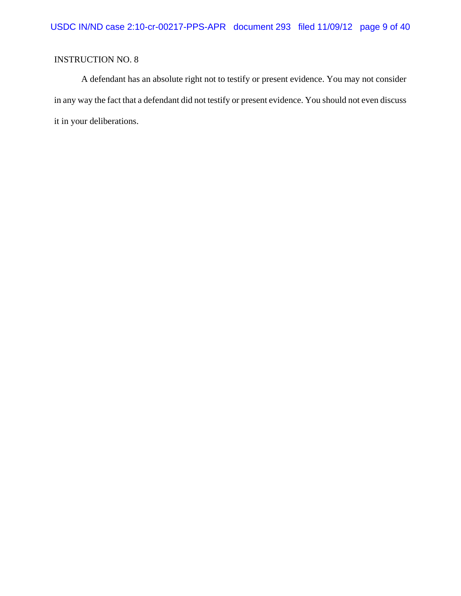A defendant has an absolute right not to testify or present evidence. You may not consider in any way the fact that a defendant did not testify or present evidence. You should not even discuss it in your deliberations.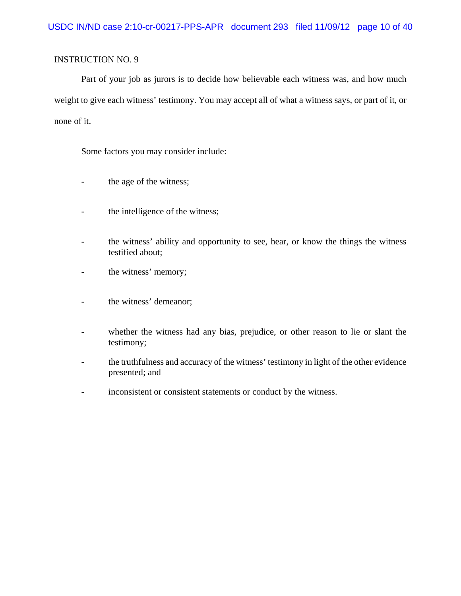Part of your job as jurors is to decide how believable each witness was, and how much weight to give each witness' testimony. You may accept all of what a witness says, or part of it, or none of it.

Some factors you may consider include:

- the age of the witness;
- the intelligence of the witness;
- the witness' ability and opportunity to see, hear, or know the things the witness testified about;
- the witness' memory;
- the witness' demeanor;
- whether the witness had any bias, prejudice, or other reason to lie or slant the testimony;
- the truthfulness and accuracy of the witness' testimony in light of the other evidence presented; and
- inconsistent or consistent statements or conduct by the witness.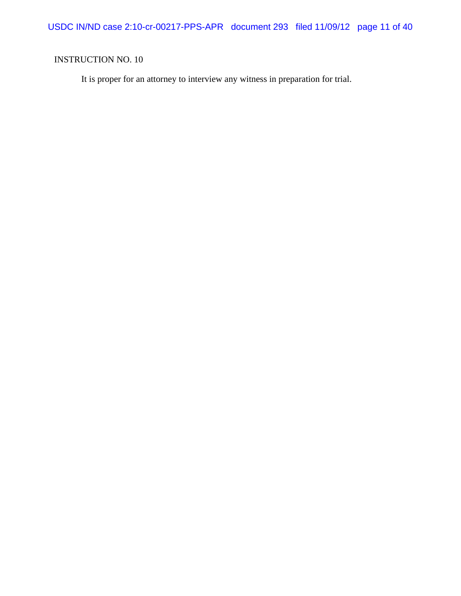It is proper for an attorney to interview any witness in preparation for trial.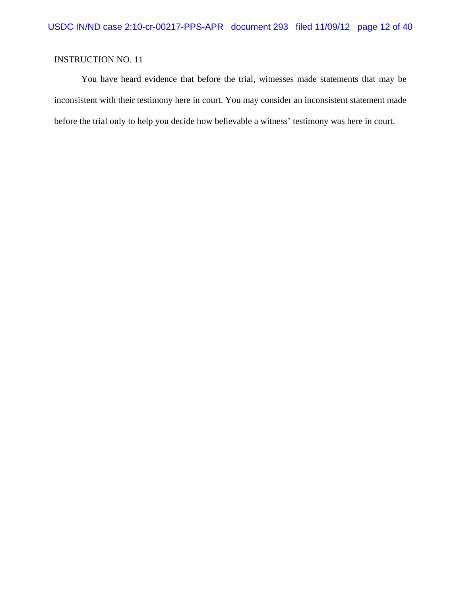You have heard evidence that before the trial, witnesses made statements that may be inconsistent with their testimony here in court. You may consider an inconsistent statement made before the trial only to help you decide how believable a witness' testimony was here in court.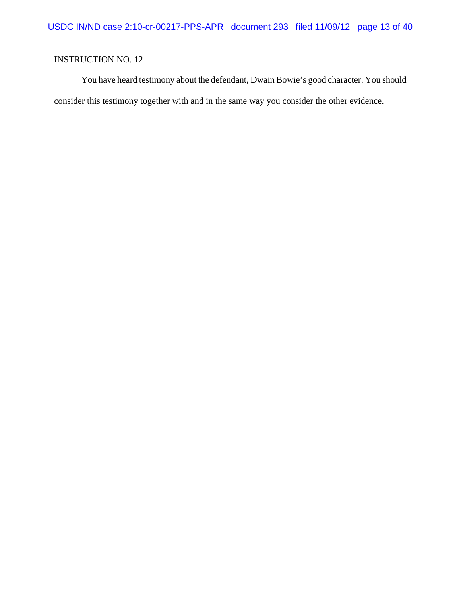You have heard testimony about the defendant, Dwain Bowie's good character. You should consider this testimony together with and in the same way you consider the other evidence.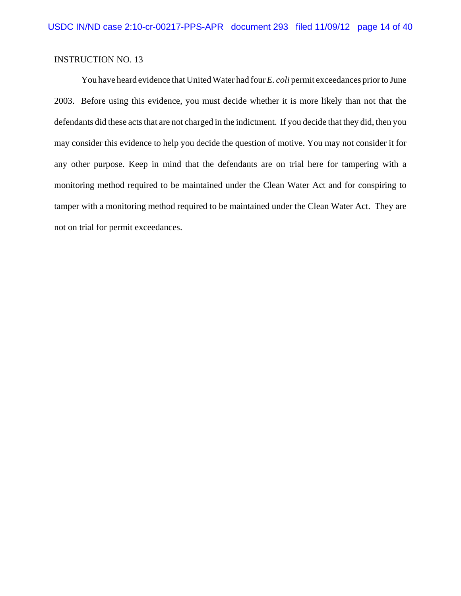You have heard evidence that United Water had four *E. coli* permit exceedances prior to June 2003. Before using this evidence, you must decide whether it is more likely than not that the defendants did these acts that are not charged in the indictment. If you decide that they did, then you may consider this evidence to help you decide the question of motive. You may not consider it for any other purpose. Keep in mind that the defendants are on trial here for tampering with a monitoring method required to be maintained under the Clean Water Act and for conspiring to tamper with a monitoring method required to be maintained under the Clean Water Act. They are not on trial for permit exceedances.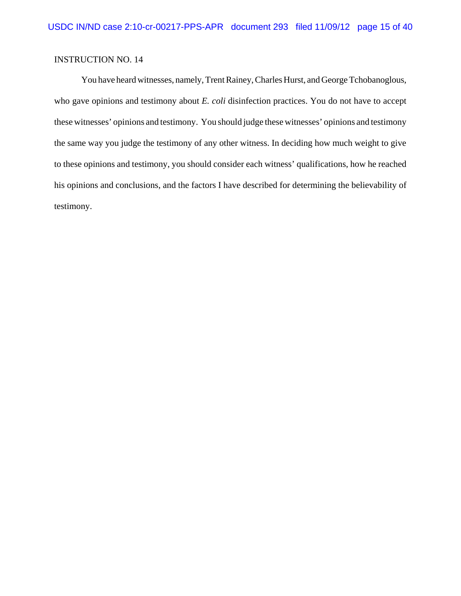You have heard witnesses, namely, Trent Rainey, Charles Hurst, and George Tchobanoglous, who gave opinions and testimony about *E. coli* disinfection practices. You do not have to accept these witnesses' opinions and testimony. You should judge these witnesses' opinions and testimony the same way you judge the testimony of any other witness. In deciding how much weight to give to these opinions and testimony, you should consider each witness' qualifications, how he reached his opinions and conclusions, and the factors I have described for determining the believability of testimony.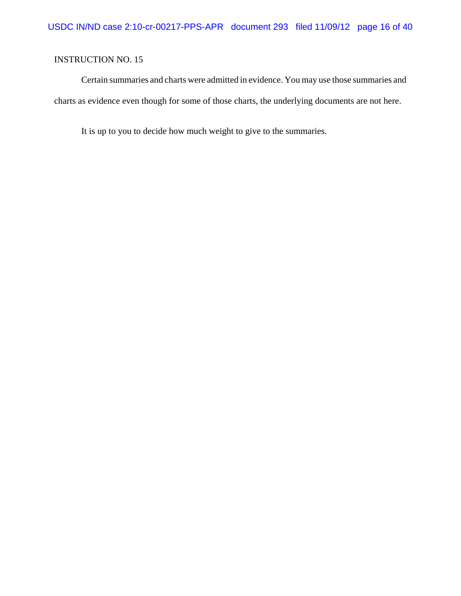Certain summaries and charts were admitted in evidence. You may use those summaries and charts as evidence even though for some of those charts, the underlying documents are not here.

It is up to you to decide how much weight to give to the summaries.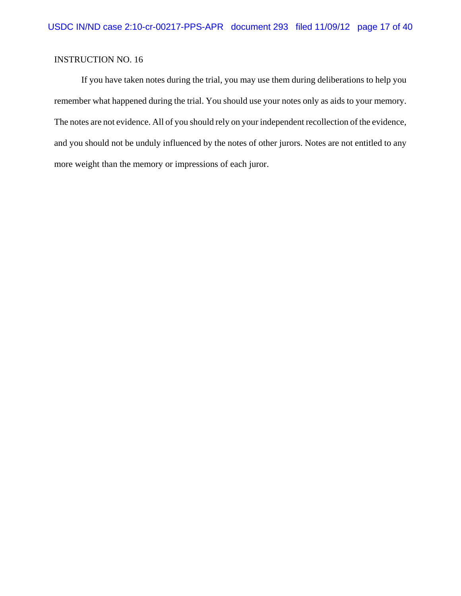If you have taken notes during the trial, you may use them during deliberations to help you remember what happened during the trial. You should use your notes only as aids to your memory. The notes are not evidence. All of you should rely on your independent recollection of the evidence, and you should not be unduly influenced by the notes of other jurors. Notes are not entitled to any more weight than the memory or impressions of each juror.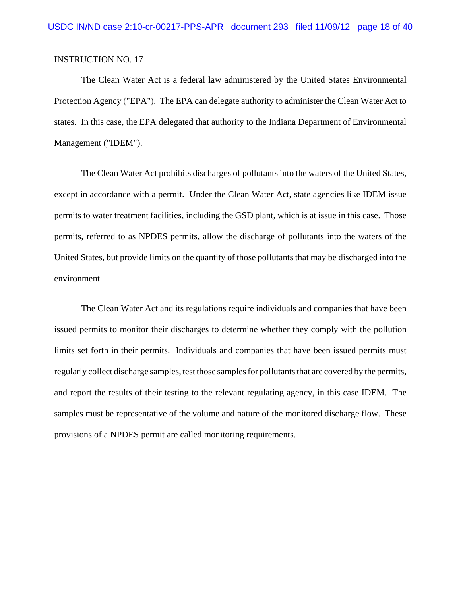The Clean Water Act is a federal law administered by the United States Environmental Protection Agency ("EPA"). The EPA can delegate authority to administer the Clean Water Act to states. In this case, the EPA delegated that authority to the Indiana Department of Environmental Management ("IDEM").

The Clean Water Act prohibits discharges of pollutants into the waters of the United States, except in accordance with a permit. Under the Clean Water Act, state agencies like IDEM issue permits to water treatment facilities, including the GSD plant, which is at issue in this case. Those permits, referred to as NPDES permits, allow the discharge of pollutants into the waters of the United States, but provide limits on the quantity of those pollutants that may be discharged into the environment.

The Clean Water Act and its regulations require individuals and companies that have been issued permits to monitor their discharges to determine whether they comply with the pollution limits set forth in their permits. Individuals and companies that have been issued permits must regularly collect discharge samples, test those samples for pollutants that are covered by the permits, and report the results of their testing to the relevant regulating agency, in this case IDEM. The samples must be representative of the volume and nature of the monitored discharge flow. These provisions of a NPDES permit are called monitoring requirements.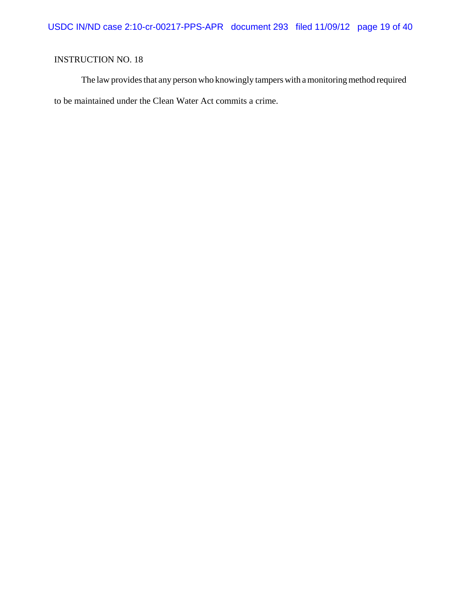The law provides that any person who knowingly tampers with a monitoring method required to be maintained under the Clean Water Act commits a crime.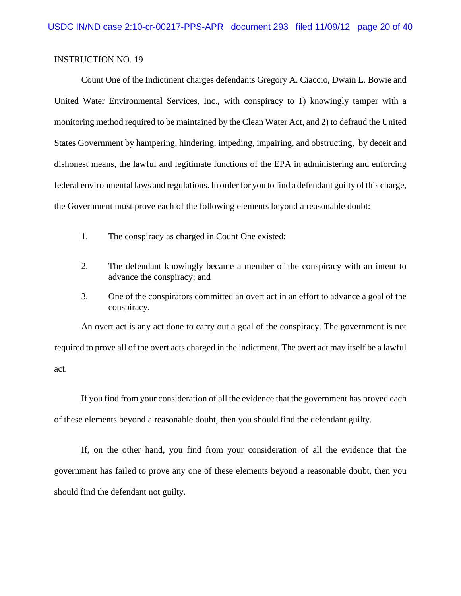Count One of the Indictment charges defendants Gregory A. Ciaccio, Dwain L. Bowie and United Water Environmental Services, Inc., with conspiracy to 1) knowingly tamper with a monitoring method required to be maintained by the Clean Water Act, and 2) to defraud the United States Government by hampering, hindering, impeding, impairing, and obstructing, by deceit and dishonest means, the lawful and legitimate functions of the EPA in administering and enforcing federal environmental laws and regulations. In order for you to find a defendant guilty of this charge, the Government must prove each of the following elements beyond a reasonable doubt:

- 1. The conspiracy as charged in Count One existed;
- 2. The defendant knowingly became a member of the conspiracy with an intent to advance the conspiracy; and
- 3. One of the conspirators committed an overt act in an effort to advance a goal of the conspiracy.

An overt act is any act done to carry out a goal of the conspiracy. The government is not required to prove all of the overt acts charged in the indictment. The overt act may itself be a lawful act.

If you find from your consideration of all the evidence that the government has proved each of these elements beyond a reasonable doubt, then you should find the defendant guilty.

If, on the other hand, you find from your consideration of all the evidence that the government has failed to prove any one of these elements beyond a reasonable doubt, then you should find the defendant not guilty.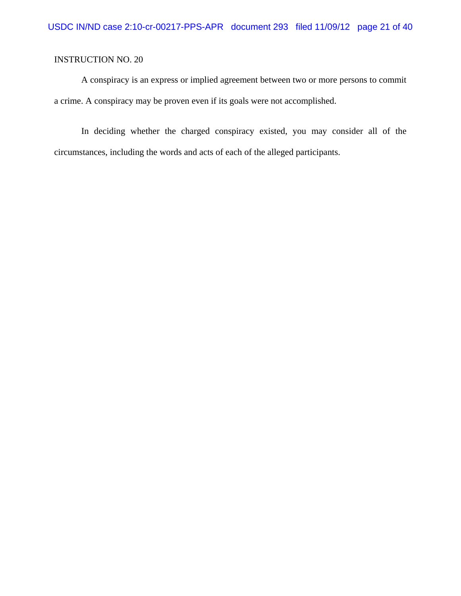A conspiracy is an express or implied agreement between two or more persons to commit a crime. A conspiracy may be proven even if its goals were not accomplished.

In deciding whether the charged conspiracy existed, you may consider all of the circumstances, including the words and acts of each of the alleged participants.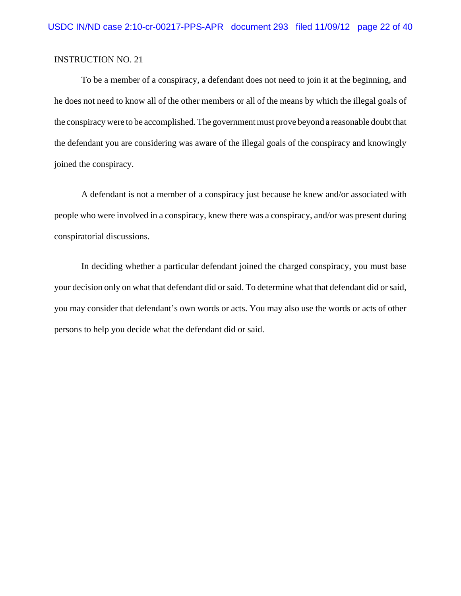To be a member of a conspiracy, a defendant does not need to join it at the beginning, and he does not need to know all of the other members or all of the means by which the illegal goals of the conspiracy were to be accomplished. The government must prove beyond a reasonable doubt that the defendant you are considering was aware of the illegal goals of the conspiracy and knowingly joined the conspiracy.

A defendant is not a member of a conspiracy just because he knew and/or associated with people who were involved in a conspiracy, knew there was a conspiracy, and/or was present during conspiratorial discussions.

In deciding whether a particular defendant joined the charged conspiracy, you must base your decision only on what that defendant did or said. To determine what that defendant did or said, you may consider that defendant's own words or acts. You may also use the words or acts of other persons to help you decide what the defendant did or said.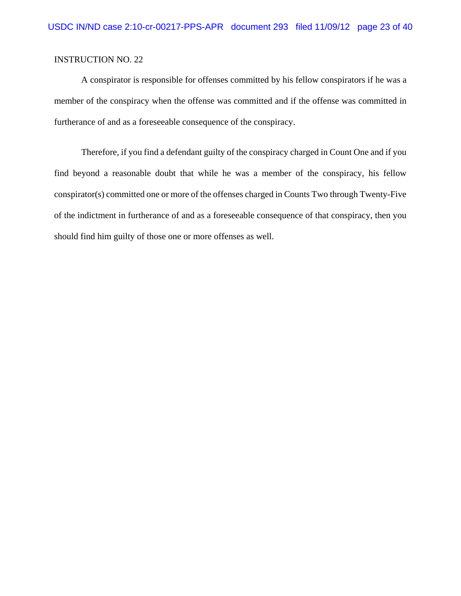A conspirator is responsible for offenses committed by his fellow conspirators if he was a member of the conspiracy when the offense was committed and if the offense was committed in furtherance of and as a foreseeable consequence of the conspiracy.

Therefore, if you find a defendant guilty of the conspiracy charged in Count One and if you find beyond a reasonable doubt that while he was a member of the conspiracy, his fellow conspirator(s) committed one or more of the offenses charged in Counts Two through Twenty-Five of the indictment in furtherance of and as a foreseeable consequence of that conspiracy, then you should find him guilty of those one or more offenses as well.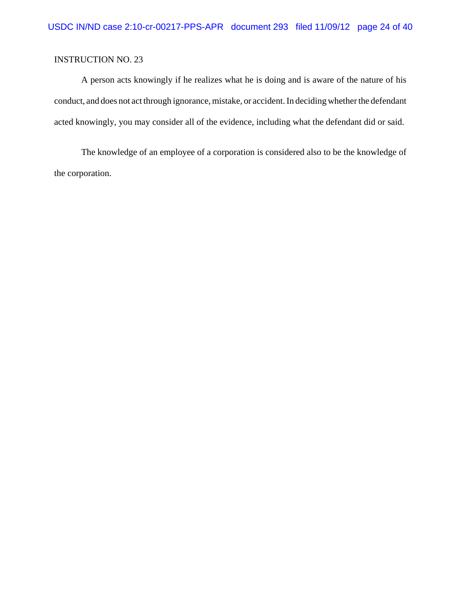A person acts knowingly if he realizes what he is doing and is aware of the nature of his conduct, and does not act through ignorance, mistake, or accident. In deciding whether the defendant acted knowingly, you may consider all of the evidence, including what the defendant did or said.

The knowledge of an employee of a corporation is considered also to be the knowledge of the corporation.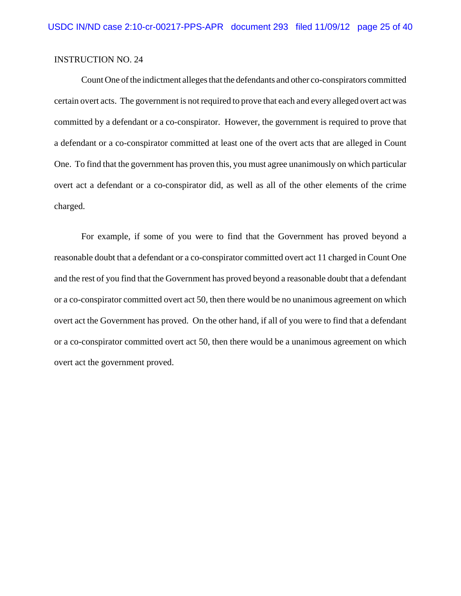Count One of the indictment alleges that the defendants and other co-conspirators committed certain overt acts. The government is not required to prove that each and every alleged overt act was committed by a defendant or a co-conspirator. However, the government is required to prove that a defendant or a co-conspirator committed at least one of the overt acts that are alleged in Count One. To find that the government has proven this, you must agree unanimously on which particular overt act a defendant or a co-conspirator did, as well as all of the other elements of the crime charged.

For example, if some of you were to find that the Government has proved beyond a reasonable doubt that a defendant or a co-conspirator committed overt act 11 charged in Count One and the rest of you find that the Government has proved beyond a reasonable doubt that a defendant or a co-conspirator committed overt act 50, then there would be no unanimous agreement on which overt act the Government has proved. On the other hand, if all of you were to find that a defendant or a co-conspirator committed overt act 50, then there would be a unanimous agreement on which overt act the government proved.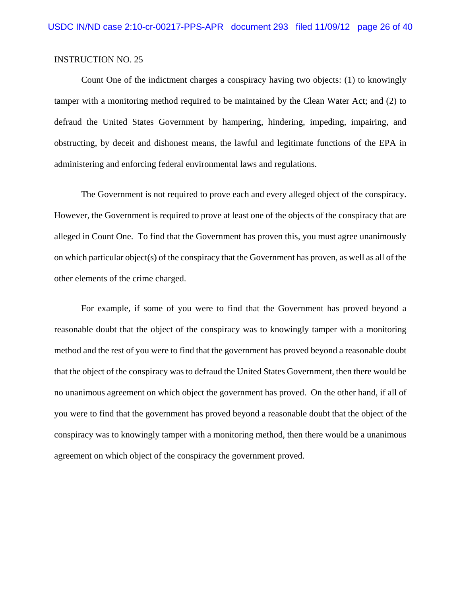Count One of the indictment charges a conspiracy having two objects: (1) to knowingly tamper with a monitoring method required to be maintained by the Clean Water Act; and (2) to defraud the United States Government by hampering, hindering, impeding, impairing, and obstructing, by deceit and dishonest means, the lawful and legitimate functions of the EPA in administering and enforcing federal environmental laws and regulations.

The Government is not required to prove each and every alleged object of the conspiracy. However, the Government is required to prove at least one of the objects of the conspiracy that are alleged in Count One. To find that the Government has proven this, you must agree unanimously on which particular object(s) of the conspiracy that the Government has proven, as well as all of the other elements of the crime charged.

For example, if some of you were to find that the Government has proved beyond a reasonable doubt that the object of the conspiracy was to knowingly tamper with a monitoring method and the rest of you were to find that the government has proved beyond a reasonable doubt that the object of the conspiracy was to defraud the United States Government, then there would be no unanimous agreement on which object the government has proved. On the other hand, if all of you were to find that the government has proved beyond a reasonable doubt that the object of the conspiracy was to knowingly tamper with a monitoring method, then there would be a unanimous agreement on which object of the conspiracy the government proved.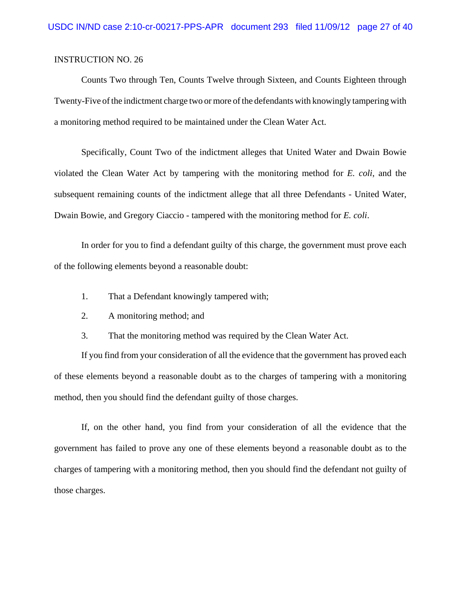Counts Two through Ten, Counts Twelve through Sixteen, and Counts Eighteen through Twenty-Five of the indictment charge two or more of the defendants with knowingly tampering with a monitoring method required to be maintained under the Clean Water Act.

Specifically, Count Two of the indictment alleges that United Water and Dwain Bowie violated the Clean Water Act by tampering with the monitoring method for *E. coli*, and the subsequent remaining counts of the indictment allege that all three Defendants - United Water, Dwain Bowie, and Gregory Ciaccio - tampered with the monitoring method for *E. coli*.

In order for you to find a defendant guilty of this charge, the government must prove each of the following elements beyond a reasonable doubt:

- 1. That a Defendant knowingly tampered with;
- 2. A monitoring method; and
- 3. That the monitoring method was required by the Clean Water Act.

If you find from your consideration of all the evidence that the government has proved each of these elements beyond a reasonable doubt as to the charges of tampering with a monitoring method, then you should find the defendant guilty of those charges.

If, on the other hand, you find from your consideration of all the evidence that the government has failed to prove any one of these elements beyond a reasonable doubt as to the charges of tampering with a monitoring method, then you should find the defendant not guilty of those charges.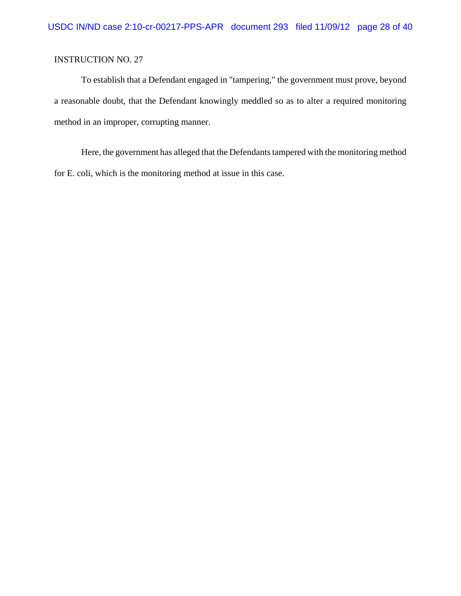To establish that a Defendant engaged in "tampering," the government must prove, beyond a reasonable doubt, that the Defendant knowingly meddled so as to alter a required monitoring method in an improper, corrupting manner.

Here, the government has alleged that the Defendants tampered with the monitoring method for E. coli, which is the monitoring method at issue in this case.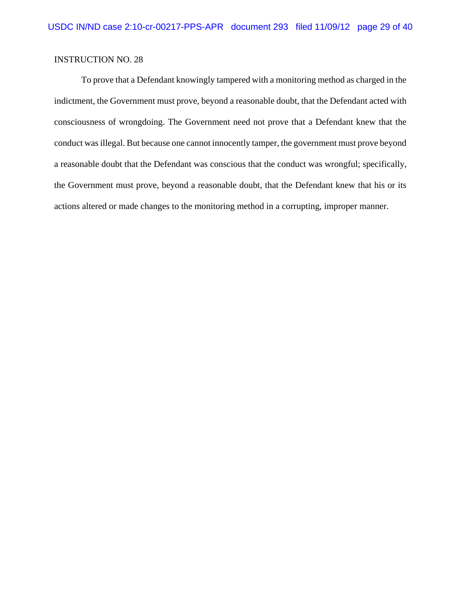To prove that a Defendant knowingly tampered with a monitoring method as charged in the indictment, the Government must prove, beyond a reasonable doubt, that the Defendant acted with consciousness of wrongdoing. The Government need not prove that a Defendant knew that the conduct was illegal. But because one cannot innocently tamper, the government must prove beyond a reasonable doubt that the Defendant was conscious that the conduct was wrongful; specifically, the Government must prove, beyond a reasonable doubt, that the Defendant knew that his or its actions altered or made changes to the monitoring method in a corrupting, improper manner.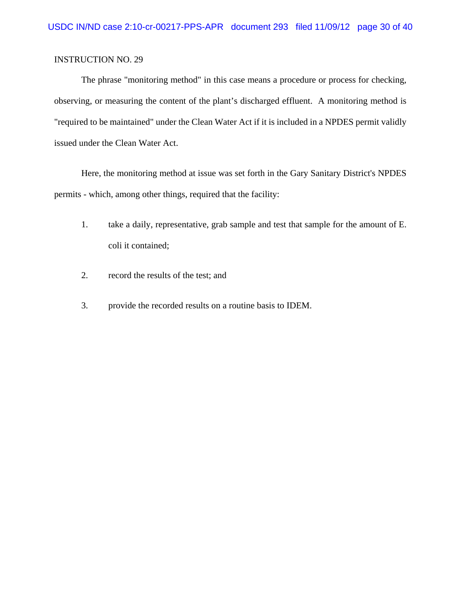The phrase "monitoring method" in this case means a procedure or process for checking, observing, or measuring the content of the plant's discharged effluent. A monitoring method is "required to be maintained" under the Clean Water Act if it is included in a NPDES permit validly issued under the Clean Water Act.

Here, the monitoring method at issue was set forth in the Gary Sanitary District's NPDES permits - which, among other things, required that the facility:

- 1. take a daily, representative, grab sample and test that sample for the amount of E. coli it contained;
- 2. record the results of the test; and
- 3. provide the recorded results on a routine basis to IDEM.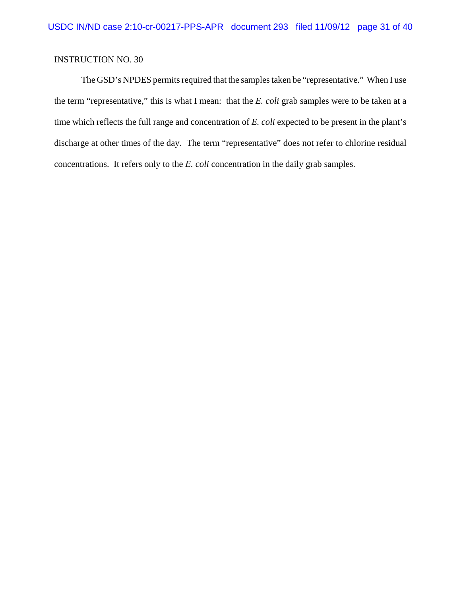The GSD's NPDES permits required that the samples taken be "representative." When I use the term "representative," this is what I mean: that the *E. coli* grab samples were to be taken at a time which reflects the full range and concentration of *E. coli* expected to be present in the plant's discharge at other times of the day. The term "representative" does not refer to chlorine residual concentrations. It refers only to the *E. coli* concentration in the daily grab samples.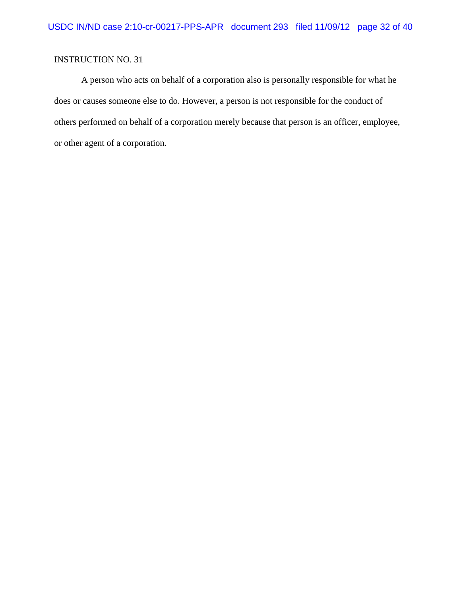A person who acts on behalf of a corporation also is personally responsible for what he does or causes someone else to do. However, a person is not responsible for the conduct of others performed on behalf of a corporation merely because that person is an officer, employee, or other agent of a corporation.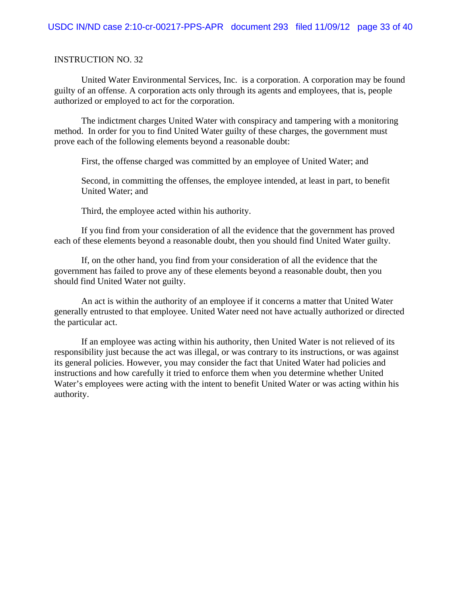United Water Environmental Services, Inc. is a corporation. A corporation may be found guilty of an offense. A corporation acts only through its agents and employees, that is, people authorized or employed to act for the corporation.

The indictment charges United Water with conspiracy and tampering with a monitoring method. In order for you to find United Water guilty of these charges, the government must prove each of the following elements beyond a reasonable doubt:

First, the offense charged was committed by an employee of United Water; and

Second, in committing the offenses, the employee intended, at least in part, to benefit United Water; and

Third, the employee acted within his authority.

If you find from your consideration of all the evidence that the government has proved each of these elements beyond a reasonable doubt, then you should find United Water guilty.

If, on the other hand, you find from your consideration of all the evidence that the government has failed to prove any of these elements beyond a reasonable doubt, then you should find United Water not guilty.

An act is within the authority of an employee if it concerns a matter that United Water generally entrusted to that employee. United Water need not have actually authorized or directed the particular act.

If an employee was acting within his authority, then United Water is not relieved of its responsibility just because the act was illegal, or was contrary to its instructions, or was against its general policies. However, you may consider the fact that United Water had policies and instructions and how carefully it tried to enforce them when you determine whether United Water's employees were acting with the intent to benefit United Water or was acting within his authority.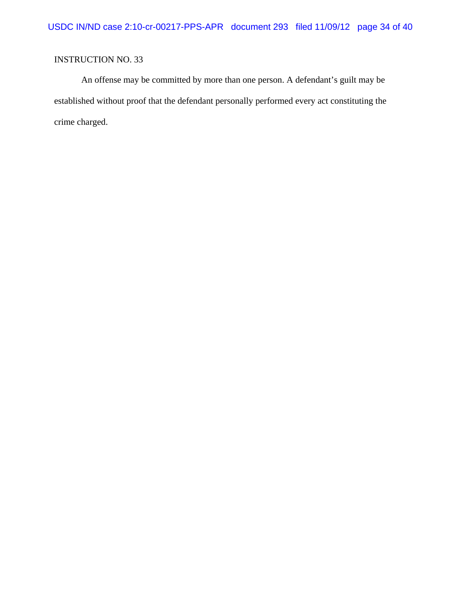An offense may be committed by more than one person. A defendant's guilt may be established without proof that the defendant personally performed every act constituting the crime charged.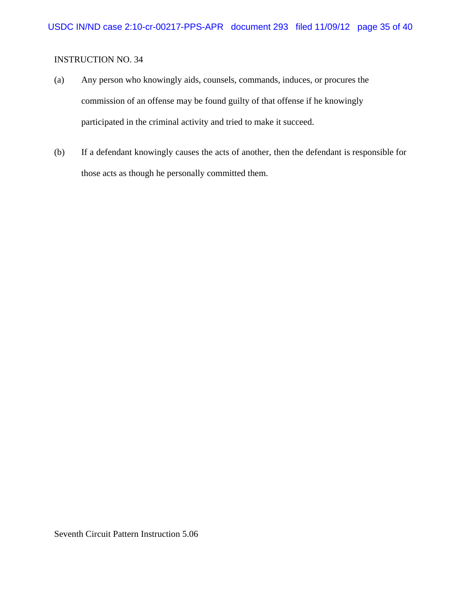- (a) Any person who knowingly aids, counsels, commands, induces, or procures the commission of an offense may be found guilty of that offense if he knowingly participated in the criminal activity and tried to make it succeed.
- (b) If a defendant knowingly causes the acts of another, then the defendant is responsible for those acts as though he personally committed them.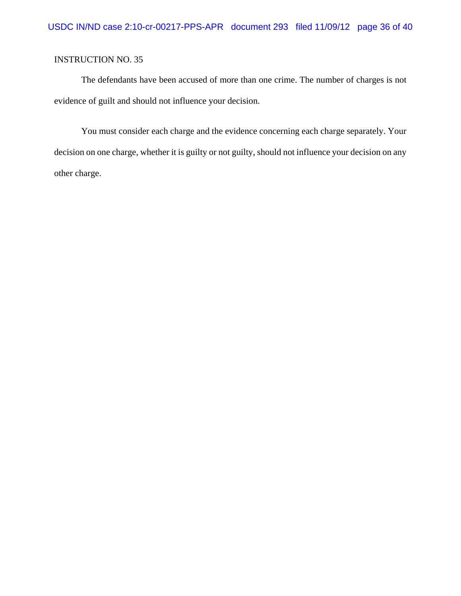The defendants have been accused of more than one crime. The number of charges is not evidence of guilt and should not influence your decision.

You must consider each charge and the evidence concerning each charge separately. Your decision on one charge, whether it is guilty or not guilty, should not influence your decision on any other charge.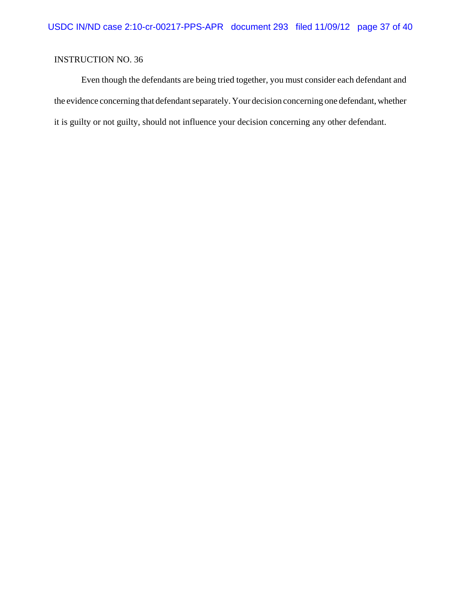Even though the defendants are being tried together, you must consider each defendant and the evidence concerning that defendant separately. Your decision concerning one defendant, whether it is guilty or not guilty, should not influence your decision concerning any other defendant.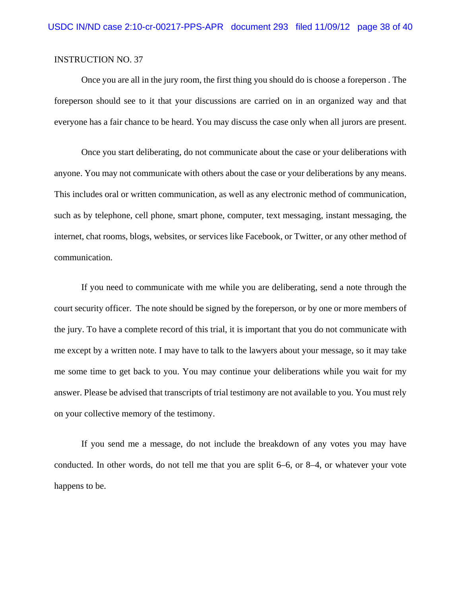Once you are all in the jury room, the first thing you should do is choose a foreperson . The foreperson should see to it that your discussions are carried on in an organized way and that everyone has a fair chance to be heard. You may discuss the case only when all jurors are present.

Once you start deliberating, do not communicate about the case or your deliberations with anyone. You may not communicate with others about the case or your deliberations by any means. This includes oral or written communication, as well as any electronic method of communication, such as by telephone, cell phone, smart phone, computer, text messaging, instant messaging, the internet, chat rooms, blogs, websites, or services like Facebook, or Twitter, or any other method of communication.

If you need to communicate with me while you are deliberating, send a note through the court security officer. The note should be signed by the foreperson, or by one or more members of the jury. To have a complete record of this trial, it is important that you do not communicate with me except by a written note. I may have to talk to the lawyers about your message, so it may take me some time to get back to you. You may continue your deliberations while you wait for my answer. Please be advised that transcripts of trial testimony are not available to you. You must rely on your collective memory of the testimony.

If you send me a message, do not include the breakdown of any votes you may have conducted. In other words, do not tell me that you are split 6–6, or 8–4, or whatever your vote happens to be.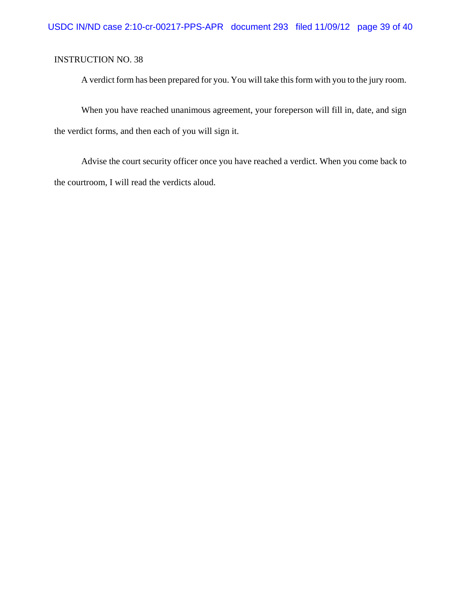A verdict form has been prepared for you. You will take this form with you to the jury room.

When you have reached unanimous agreement, your foreperson will fill in, date, and sign the verdict forms, and then each of you will sign it.

Advise the court security officer once you have reached a verdict. When you come back to the courtroom, I will read the verdicts aloud.